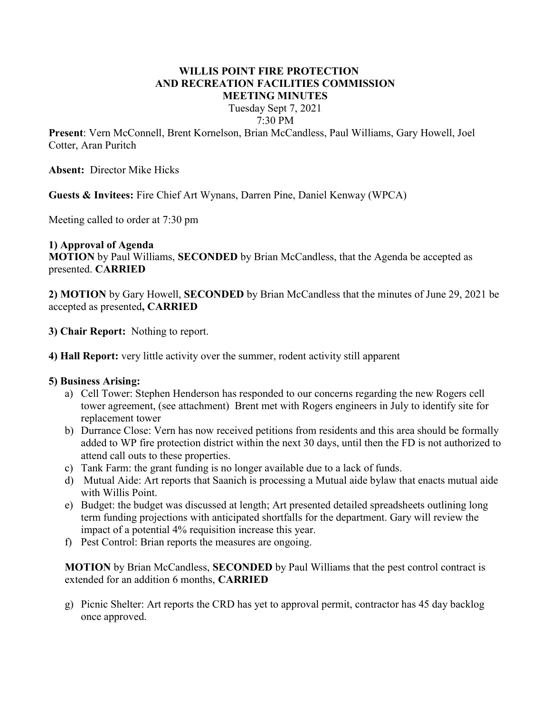## WILLIS POINT FIRE PROTECTION AND RECREATION FACILITIES COMMISSION MEETING MINUTES

Tuesday Sept 7, 2021 7:30 PM

Present: Vern McConnell, Brent Kornelson, Brian McCandless, Paul Williams, Gary Howell, Joel Cotter, Aran Puritch

Absent: Director Mike Hicks

Guests & Invitees: Fire Chief Art Wynans, Darren Pine, Daniel Kenway (WPCA)

Meeting called to order at 7:30 pm

1) Approval of Agenda MOTION by Paul Williams, SECONDED by Brian McCandless, that the Agenda be accepted as presented. CARRIED

2) MOTION by Gary Howell, SECONDED by Brian McCandless that the minutes of June 29, 2021 be accepted as presented, CARRIED

3) Chair Report: Nothing to report.

4) Hall Report: very little activity over the summer, rodent activity still apparent

## 5) Business Arising:

- a) Cell Tower: Stephen Henderson has responded to our concerns regarding the new Rogers cell tower agreement, (see attachment) Brent met with Rogers engineers in July to identify site for replacement tower
- b) Durrance Close: Vern has now received petitions from residents and this area should be formally added to WP fire protection district within the next 30 days, until then the FD is not authorized to attend call outs to these properties.
- c) Tank Farm: the grant funding is no longer available due to a lack of funds.
- d) Mutual Aide: Art reports that Saanich is processing a Mutual aide bylaw that enacts mutual aide with Willis Point.
- e) Budget: the budget was discussed at length; Art presented detailed spreadsheets outlining long term funding projections with anticipated shortfalls for the department. Gary will review the impact of a potential 4% requisition increase this year.
- f) Pest Control: Brian reports the measures are ongoing.

MOTION by Brian McCandless, SECONDED by Paul Williams that the pest control contract is extended for an addition 6 months, CARRIED

g) Picnic Shelter: Art reports the CRD has yet to approval permit, contractor has 45 day backlog once approved.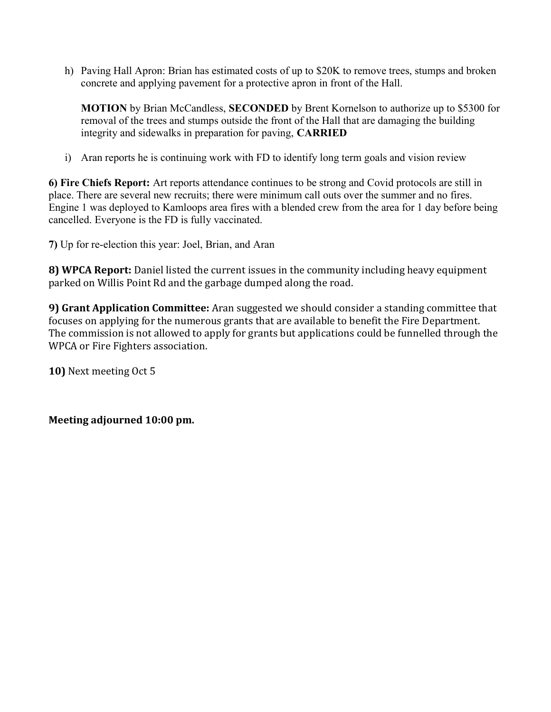h) Paving Hall Apron: Brian has estimated costs of up to \$20K to remove trees, stumps and broken concrete and applying pavement for a protective apron in front of the Hall.

MOTION by Brian McCandless, SECONDED by Brent Kornelson to authorize up to \$5300 for removal of the trees and stumps outside the front of the Hall that are damaging the building integrity and sidewalks in preparation for paving, CARRIED

i) Aran reports he is continuing work with FD to identify long term goals and vision review

6) Fire Chiefs Report: Art reports attendance continues to be strong and Covid protocols are still in place. There are several new recruits; there were minimum call outs over the summer and no fires. Engine 1 was deployed to Kamloops area fires with a blended crew from the area for 1 day before being cancelled. Everyone is the FD is fully vaccinated.

7) Up for re-election this year: Joel, Brian, and Aran

8) WPCA Report: Daniel listed the current issues in the community including heavy equipment parked on Willis Point Rd and the garbage dumped along the road.

9) Grant Application Committee: Aran suggested we should consider a standing committee that focuses on applying for the numerous grants that are available to benefit the Fire Department. The commission is not allowed to apply for grants but applications could be funnelled through the WPCA or Fire Fighters association.

10) Next meeting Oct 5

## Meeting adjourned 10:00 pm.